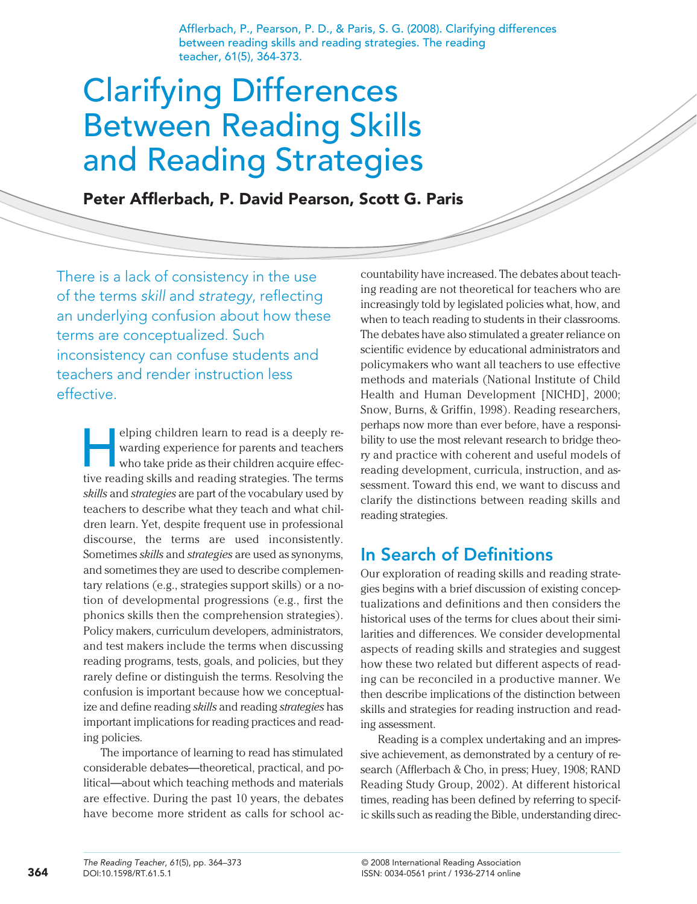Afflerbach, P., Pearson, P. D., & Paris, S. G. (2008). Clarifying differences between reading skills and reading strategies. The reading teacher, 61(5), 364-373.

# Clarifying Differences Between Reading Skills and Reading Strategies

Peter Afflerbach, P. David Pearson, Scott G. Paris

There is a lack of consistency in the use of the terms skill and strategy, reflecting an underlying confusion about how these terms are conceptualized. Such inconsistency can confuse students and teachers and render instruction less effective.

elping children learn to read is a deeply rewarding experience for parents and teachers who take pride as their children acquire effective reading skills and reading strategies. The terms *skills* and *strategies* are part of the vocabulary used by teachers to describe what they teach and what children learn. Yet, despite frequent use in professional discourse, the terms are used inconsistently. Sometimes *skills* and *strategies* are used as synonyms, and sometimes they are used to describe complementary relations (e.g., strategies support skills) or a notion of developmental progressions (e.g., first the phonics skills then the comprehension strategies). Policy makers, curriculum developers, administrators, and test makers include the terms when discussing reading programs, tests, goals, and policies, but they rarely define or distinguish the terms. Resolving the confusion is important because how we conceptualize and define reading *skills* and reading *strategies* has important implications for reading practices and reading policies.

The importance of learning to read has stimulated considerable debates—theoretical, practical, and political—about which teaching methods and materials are effective. During the past 10 years, the debates have become more strident as calls for school accountability have increased. The debates about teaching reading are not theoretical for teachers who are increasingly told by legislated policies what, how, and when to teach reading to students in their classrooms. The debates have also stimulated a greater reliance on scientific evidence by educational administrators and policymakers who want all teachers to use effective methods and materials (National Institute of Child Health and Human Development [NICHD], 2000; Snow, Burns, & Griffin, 1998). Reading researchers, perhaps now more than ever before, have a responsibility to use the most relevant research to bridge theory and practice with coherent and useful models of reading development, curricula, instruction, and assessment. Toward this end, we want to discuss and clarify the distinctions between reading skills and reading strategies.

## In Search of Definitions

Our exploration of reading skills and reading strategies begins with a brief discussion of existing conceptualizations and definitions and then considers the historical uses of the terms for clues about their similarities and differences. We consider developmental aspects of reading skills and strategies and suggest how these two related but different aspects of reading can be reconciled in a productive manner. We then describe implications of the distinction between skills and strategies for reading instruction and reading assessment.

Reading is a complex undertaking and an impressive achievement, as demonstrated by a century of research (Afflerbach & Cho, in press; Huey, 1908; RAND Reading Study Group, 2002). At different historical times, reading has been defined by referring to specific skills such as reading the Bible, understanding direc-

364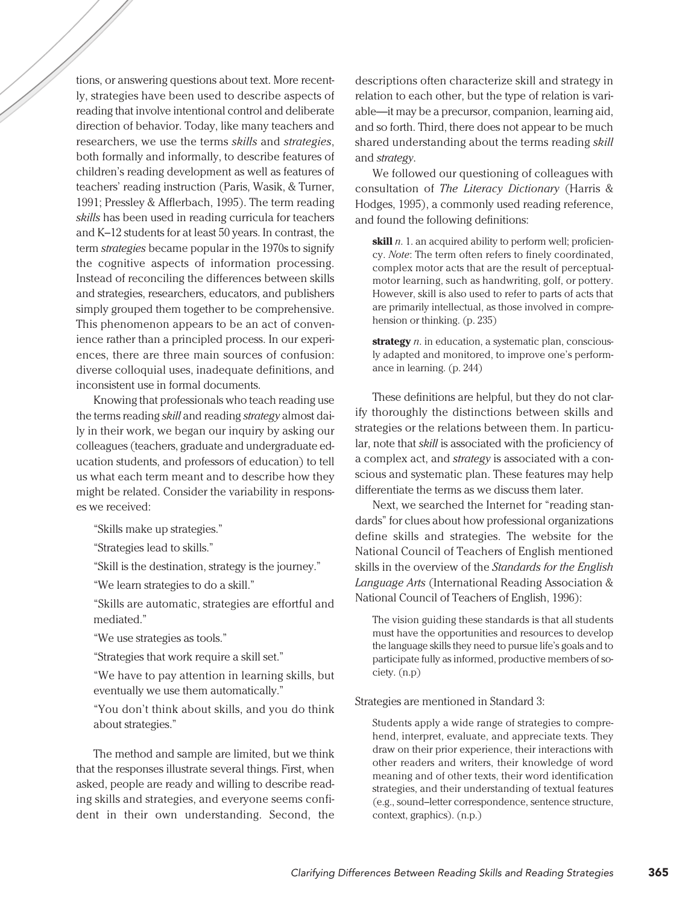tions, or answering questions about text. More recently, strategies have been used to describe aspects of reading that involve intentional control and deliberate direction of behavior. Today, like many teachers and researchers, we use the terms *skills* and *strategies*, both formally and informally, to describe features of children's reading development as well as features of teachers' reading instruction (Paris, Wasik, & Turner, 1991; Pressley & Afflerbach, 1995). The term reading *skills* has been used in reading curricula for teachers and K–12 students for at least 50 years. In contrast, the term *strategies* became popular in the 1970s to signify the cognitive aspects of information processing. Instead of reconciling the differences between skills and strategies, researchers, educators, and publishers simply grouped them together to be comprehensive. This phenomenon appears to be an act of convenience rather than a principled process. In our experiences, there are three main sources of confusion: diverse colloquial uses, inadequate definitions, and inconsistent use in formal documents.

Knowing that professionals who teach reading use the terms reading *skill* and reading *strategy* almost daily in their work, we began our inquiry by asking our colleagues (teachers, graduate and undergraduate education students, and professors of education) to tell us what each term meant and to describe how they might be related. Consider the variability in responses we received:

"Skills make up strategies."

"Strategies lead to skills."

"Skill is the destination, strategy is the journey."

"We learn strategies to do a skill."

"Skills are automatic, strategies are effortful and mediated."

"We use strategies as tools."

"Strategies that work require a skill set."

"We have to pay attention in learning skills, but eventually we use them automatically."

"You don't think about skills, and you do think about strategies."

The method and sample are limited, but we think that the responses illustrate several things. First, when asked, people are ready and willing to describe reading skills and strategies, and everyone seems confident in their own understanding. Second, the

descriptions often characterize skill and strategy in relation to each other, but the type of relation is variable—it may be a precursor, companion, learning aid, and so forth. Third, there does not appear to be much shared understanding about the terms reading *skill* and *strategy*.

We followed our questioning of colleagues with consultation of *The Literacy Dictionary* (Harris & Hodges, 1995), a commonly used reading reference, and found the following definitions:

**skill** *n*. 1. an acquired ability to perform well; proficiency. *Note*: The term often refers to finely coordinated, complex motor acts that are the result of perceptualmotor learning, such as handwriting, golf, or pottery. However, skill is also used to refer to parts of acts that are primarily intellectual, as those involved in comprehension or thinking. (p. 235)

**strategy** *n*. in education, a systematic plan, consciously adapted and monitored, to improve one's performance in learning. (p. 244)

These definitions are helpful, but they do not clarify thoroughly the distinctions between skills and strategies or the relations between them. In particular, note that *skill* is associated with the proficiency of a complex act, and *strategy* is associated with a conscious and systematic plan. These features may help differentiate the terms as we discuss them later.

Next, we searched the Internet for "reading standards" for clues about how professional organizations define skills and strategies. The website for the National Council of Teachers of English mentioned skills in the overview of the *Standards for the English Language Arts* (International Reading Association & National Council of Teachers of English, 1996):

The vision guiding these standards is that all students must have the opportunities and resources to develop the language skills they need to pursue life's goals and to participate fully as informed, productive members of society. (n.p)

Strategies are mentioned in Standard 3:

Students apply a wide range of strategies to comprehend, interpret, evaluate, and appreciate texts. They draw on their prior experience, their interactions with other readers and writers, their knowledge of word meaning and of other texts, their word identification strategies, and their understanding of textual features (e.g., sound–letter correspondence, sentence structure, context, graphics). (n.p.)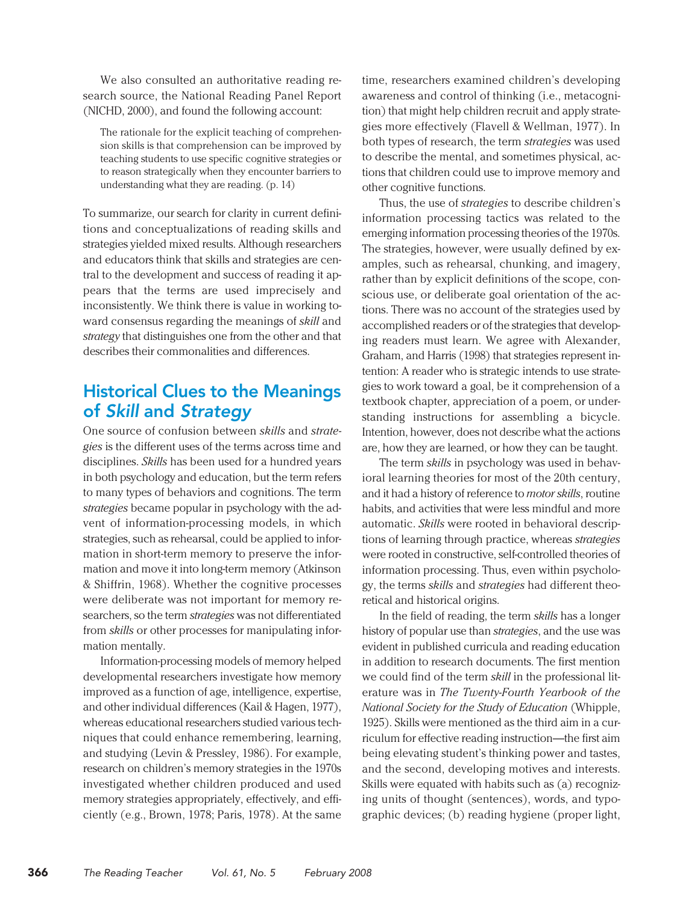We also consulted an authoritative reading research source, the National Reading Panel Report (NICHD, 2000), and found the following account:

The rationale for the explicit teaching of comprehension skills is that comprehension can be improved by teaching students to use specific cognitive strategies or to reason strategically when they encounter barriers to understanding what they are reading. (p. 14)

To summarize, our search for clarity in current definitions and conceptualizations of reading skills and strategies yielded mixed results. Although researchers and educators think that skills and strategies are central to the development and success of reading it appears that the terms are used imprecisely and inconsistently. We think there is value in working toward consensus regarding the meanings of *skill* and *strategy* that distinguishes one from the other and that describes their commonalities and differences.

## Historical Clues to the Meanings of Skill and Strategy

One source of confusion between *skills* and *strategies* is the different uses of the terms across time and disciplines. *Skills* has been used for a hundred years in both psychology and education, but the term refers to many types of behaviors and cognitions. The term *strategies* became popular in psychology with the advent of information-processing models, in which strategies, such as rehearsal, could be applied to information in short-term memory to preserve the information and move it into long-term memory (Atkinson & Shiffrin, 1968). Whether the cognitive processes were deliberate was not important for memory researchers, so the term *strategies* was not differentiated from *skills* or other processes for manipulating information mentally.

Information-processing models of memory helped developmental researchers investigate how memory improved as a function of age, intelligence, expertise, and other individual differences (Kail & Hagen, 1977), whereas educational researchers studied various techniques that could enhance remembering, learning, and studying (Levin & Pressley, 1986). For example, research on children's memory strategies in the 1970s investigated whether children produced and used memory strategies appropriately, effectively, and efficiently (e.g., Brown, 1978; Paris, 1978). At the same

time, researchers examined children's developing awareness and control of thinking (i.e., metacognition) that might help children recruit and apply strategies more effectively (Flavell & Wellman, 1977). In both types of research, the term *strategies* was used to describe the mental, and sometimes physical, actions that children could use to improve memory and other cognitive functions.

Thus, the use of *strategies* to describe children's information processing tactics was related to the emerging information processing theories of the 1970s. The strategies, however, were usually defined by examples, such as rehearsal, chunking, and imagery, rather than by explicit definitions of the scope, conscious use, or deliberate goal orientation of the actions. There was no account of the strategies used by accomplished readers or of the strategies that developing readers must learn. We agree with Alexander, Graham, and Harris (1998) that strategies represent intention: A reader who is strategic intends to use strategies to work toward a goal, be it comprehension of a textbook chapter, appreciation of a poem, or understanding instructions for assembling a bicycle. Intention, however, does not describe what the actions are, how they are learned, or how they can be taught.

The term *skills* in psychology was used in behavioral learning theories for most of the 20th century, and it had a history of reference to *motor skills*, routine habits, and activities that were less mindful and more automatic. *Skills* were rooted in behavioral descriptions of learning through practice, whereas *strategies* were rooted in constructive, self-controlled theories of information processing. Thus, even within psychology, the terms *skills* and *strategies* had different theoretical and historical origins.

In the field of reading, the term *skills* has a longer history of popular use than *strategies*, and the use was evident in published curricula and reading education in addition to research documents. The first mention we could find of the term *skill* in the professional literature was in *The Twenty-Fourth Yearbook of the National Society for the Study of Education* (Whipple, 1925). Skills were mentioned as the third aim in a curriculum for effective reading instruction—the first aim being elevating student's thinking power and tastes, and the second, developing motives and interests. Skills were equated with habits such as (a) recognizing units of thought (sentences), words, and typographic devices; (b) reading hygiene (proper light,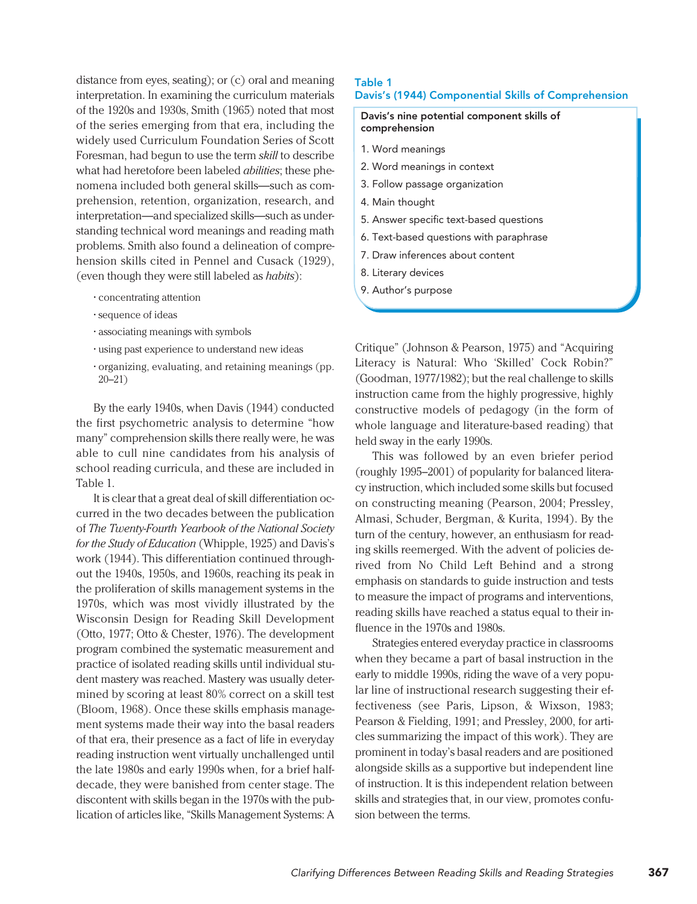distance from eyes, seating); or (c) oral and meaning interpretation. In examining the curriculum materials of the 1920s and 1930s, Smith (1965) noted that most of the series emerging from that era, including the widely used Curriculum Foundation Series of Scott Foresman, had begun to use the term *skill* to describe what had heretofore been labeled *abilities*; these phenomena included both general skills—such as comprehension, retention, organization, research, and interpretation—and specialized skills—such as understanding technical word meanings and reading math problems. Smith also found a delineation of comprehension skills cited in Pennel and Cusack (1929), (even though they were still labeled as *habits*):

- concentrating attention
- sequence of ideas
- associating meanings with symbols
- using past experience to understand new ideas
- organizing, evaluating, and retaining meanings (pp. 20–21)

By the early 1940s, when Davis (1944) conducted the first psychometric analysis to determine "how many" comprehension skills there really were, he was able to cull nine candidates from his analysis of school reading curricula, and these are included in Table 1.

It is clear that a great deal of skill differentiation occurred in the two decades between the publication of *The Twenty-Fourth Yearbook of the National Society for the Study of Education* (Whipple, 1925) and Davis's work (1944). This differentiation continued throughout the 1940s, 1950s, and 1960s, reaching its peak in the proliferation of skills management systems in the 1970s, which was most vividly illustrated by the Wisconsin Design for Reading Skill Development (Otto, 1977; Otto & Chester, 1976). The development program combined the systematic measurement and practice of isolated reading skills until individual student mastery was reached. Mastery was usually determined by scoring at least 80% correct on a skill test (Bloom, 1968). Once these skills emphasis management systems made their way into the basal readers of that era, their presence as a fact of life in everyday reading instruction went virtually unchallenged until the late 1980s and early 1990s when, for a brief halfdecade, they were banished from center stage. The discontent with skills began in the 1970s with the publication of articles like, "Skills Management Systems: A

#### Table 1 Davis's (1944) Componential Skills of Comprehension

Davis's nine potential component skills of comprehension

- 1. Word meanings
- 2. Word meanings in context
- 3. Follow passage organization
- 4. Main thought
- 5. Answer specific text-based questions
- 6. Text-based questions with paraphrase
- 7. Draw inferences about content
- 8. Literary devices
- 9. Author's purpose

Critique" (Johnson & Pearson, 1975) and "Acquiring Literacy is Natural: Who 'Skilled' Cock Robin?" (Goodman, 1977/1982); but the real challenge to skills instruction came from the highly progressive, highly constructive models of pedagogy (in the form of whole language and literature-based reading) that held sway in the early 1990s.

This was followed by an even briefer period (roughly 1995–2001) of popularity for balanced literacy instruction, which included some skills but focused on constructing meaning (Pearson, 2004; Pressley, Almasi, Schuder, Bergman, & Kurita, 1994). By the turn of the century, however, an enthusiasm for reading skills reemerged. With the advent of policies derived from No Child Left Behind and a strong emphasis on standards to guide instruction and tests to measure the impact of programs and interventions, reading skills have reached a status equal to their influence in the 1970s and 1980s.

Strategies entered everyday practice in classrooms when they became a part of basal instruction in the early to middle 1990s, riding the wave of a very popular line of instructional research suggesting their effectiveness (see Paris, Lipson, & Wixson, 1983; Pearson & Fielding, 1991; and Pressley, 2000, for articles summarizing the impact of this work). They are prominent in today's basal readers and are positioned alongside skills as a supportive but independent line of instruction. It is this independent relation between skills and strategies that, in our view, promotes confusion between the terms.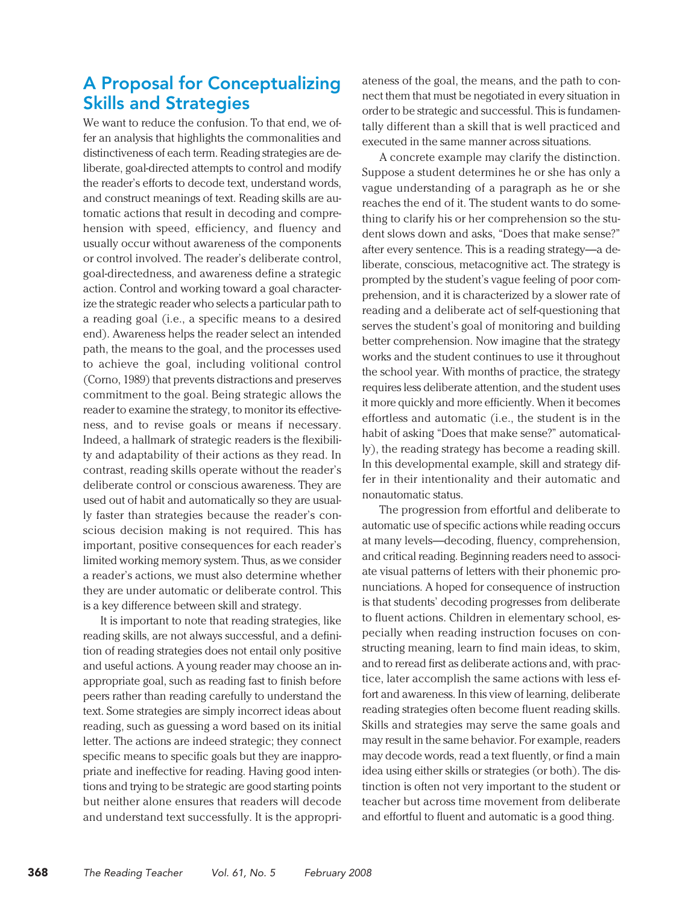### A Proposal for Conceptualizing Skills and Strategies

We want to reduce the confusion. To that end, we offer an analysis that highlights the commonalities and distinctiveness of each term. Reading strategies are deliberate, goal-directed attempts to control and modify the reader's efforts to decode text, understand words, and construct meanings of text. Reading skills are automatic actions that result in decoding and comprehension with speed, efficiency, and fluency and usually occur without awareness of the components or control involved. The reader's deliberate control, goal-directedness, and awareness define a strategic action. Control and working toward a goal characterize the strategic reader who selects a particular path to a reading goal (i.e., a specific means to a desired end). Awareness helps the reader select an intended path, the means to the goal, and the processes used to achieve the goal, including volitional control (Corno, 1989) that prevents distractions and preserves commitment to the goal. Being strategic allows the reader to examine the strategy, to monitor its effectiveness, and to revise goals or means if necessary. Indeed, a hallmark of strategic readers is the flexibility and adaptability of their actions as they read. In contrast, reading skills operate without the reader's deliberate control or conscious awareness. They are used out of habit and automatically so they are usually faster than strategies because the reader's conscious decision making is not required. This has important, positive consequences for each reader's limited working memory system. Thus, as we consider a reader's actions, we must also determine whether they are under automatic or deliberate control. This is a key difference between skill and strategy.

It is important to note that reading strategies, like reading skills, are not always successful, and a definition of reading strategies does not entail only positive and useful actions. A young reader may choose an inappropriate goal, such as reading fast to finish before peers rather than reading carefully to understand the text. Some strategies are simply incorrect ideas about reading, such as guessing a word based on its initial letter. The actions are indeed strategic; they connect specific means to specific goals but they are inappropriate and ineffective for reading. Having good intentions and trying to be strategic are good starting points but neither alone ensures that readers will decode and understand text successfully. It is the appropriateness of the goal, the means, and the path to connect them that must be negotiated in every situation in order to be strategic and successful. This is fundamentally different than a skill that is well practiced and executed in the same manner across situations.

A concrete example may clarify the distinction. Suppose a student determines he or she has only a vague understanding of a paragraph as he or she reaches the end of it. The student wants to do something to clarify his or her comprehension so the student slows down and asks, "Does that make sense?" after every sentence. This is a reading strategy—a deliberate, conscious, metacognitive act. The strategy is prompted by the student's vague feeling of poor comprehension, and it is characterized by a slower rate of reading and a deliberate act of self-questioning that serves the student's goal of monitoring and building better comprehension. Now imagine that the strategy works and the student continues to use it throughout the school year. With months of practice, the strategy requires less deliberate attention, and the student uses it more quickly and more efficiently. When it becomes effortless and automatic (i.e., the student is in the habit of asking "Does that make sense?" automatically), the reading strategy has become a reading skill. In this developmental example, skill and strategy differ in their intentionality and their automatic and nonautomatic status.

The progression from effortful and deliberate to automatic use of specific actions while reading occurs at many levels—decoding, fluency, comprehension, and critical reading. Beginning readers need to associate visual patterns of letters with their phonemic pronunciations. A hoped for consequence of instruction is that students' decoding progresses from deliberate to fluent actions. Children in elementary school, especially when reading instruction focuses on constructing meaning, learn to find main ideas, to skim, and to reread first as deliberate actions and, with practice, later accomplish the same actions with less effort and awareness. In this view of learning, deliberate reading strategies often become fluent reading skills. Skills and strategies may serve the same goals and may result in the same behavior. For example, readers may decode words, read a text fluently, or find a main idea using either skills or strategies (or both). The distinction is often not very important to the student or teacher but across time movement from deliberate and effortful to fluent and automatic is a good thing.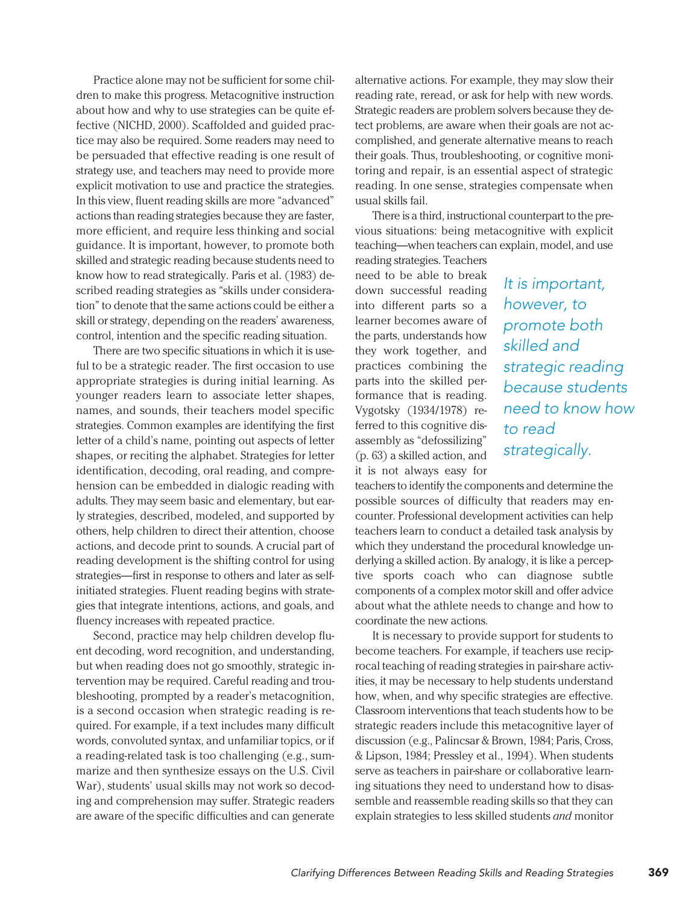Practice alone may not be sufficient for some children to make this progress. Metacognitive instruction about how and why to use strategies can be quite effective (NICHD, 2000). Scaffolded and guided practice may also be required. Some readers may need to be persuaded that effective reading is one result of strategy use, and teachers may need to provide more explicit motivation to use and practice the strategies. In this view, fluent reading skills are more "advanced" actions than reading strategies because they are faster, more efficient, and require less thinking and social guidance. It is important, however, to promote both skilled and strategic reading because students need to know how to read strategically. Paris et al. (1983) described reading strategies as "skills under consideration" to denote that the same actions could be either a skill or strategy, depending on the readers' awareness, control, intention and the specific reading situation.

There are two specific situations in which it is useful to be a strategic reader. The first occasion to use appropriate strategies is during initial learning. As younger readers learn to associate letter shapes, names, and sounds, their teachers model specific strategies. Common examples are identifying the first letter of a child's name, pointing out aspects of letter shapes, or reciting the alphabet. Strategies for letter identification, decoding, oral reading, and comprehension can be embedded in dialogic reading with adults. They may seem basic and elementary, but early strategies, described, modeled, and supported by others, help children to direct their attention, choose actions, and decode print to sounds. A crucial part of reading development is the shifting control for using strategies—first in response to others and later as selfinitiated strategies. Fluent reading begins with strategies that integrate intentions, actions, and goals, and fluency increases with repeated practice.

Second, practice may help children develop fluent decoding, word recognition, and understanding, but when reading does not go smoothly, strategic intervention may be required. Careful reading and troubleshooting, prompted by a reader's metacognition, is a second occasion when strategic reading is required. For example, if a text includes many difficult words, convoluted syntax, and unfamiliar topics, or if a reading-related task is too challenging (e.g., summarize and then synthesize essays on the U.S. Civil War), students' usual skills may not work so decoding and comprehension may suffer. Strategic readers are aware of the specific difficulties and can generate

alternative actions. For example, they may slow their reading rate, reread, or ask for help with new words. Strategic readers are problem solvers because they detect problems, are aware when their goals are not accomplished, and generate alternative means to reach their goals. Thus, troubleshooting, or cognitive monitoring and repair, is an essential aspect of strategic reading. In one sense, strategies compensate when usual skills fail.

There is a third, instructional counterpart to the previous situations: being metacognitive with explicit teaching—when teachers can explain, model, and use

reading strategies. Teachers need to be able to break down successful reading into different parts so a learner becomes aware of the parts, understands how they work together, and practices combining the parts into the skilled performance that is reading. Vygotsky (1934/1978) referred to this cognitive disassembly as "defossilizing" (p. 63) a skilled action, and it is not always easy for

It is important, however, to promote both skilled and strategic reading because students need to know how to read strategically.

teachers to identify the components and determine the possible sources of difficulty that readers may encounter. Professional development activities can help teachers learn to conduct a detailed task analysis by which they understand the procedural knowledge underlying a skilled action. By analogy, it is like a perceptive sports coach who can diagnose subtle components of a complex motor skill and offer advice about what the athlete needs to change and how to coordinate the new actions.

It is necessary to provide support for students to become teachers. For example, if teachers use reciprocal teaching of reading strategies in pair-share activities, it may be necessary to help students understand how, when, and why specific strategies are effective. Classroom interventions that teach students how to be strategic readers include this metacognitive layer of discussion (e.g., Palincsar & Brown, 1984; Paris, Cross, & Lipson, 1984; Pressley et al., 1994). When students serve as teachers in pair-share or collaborative learning situations they need to understand how to disassemble and reassemble reading skills so that they can explain strategies to less skilled students *and* monitor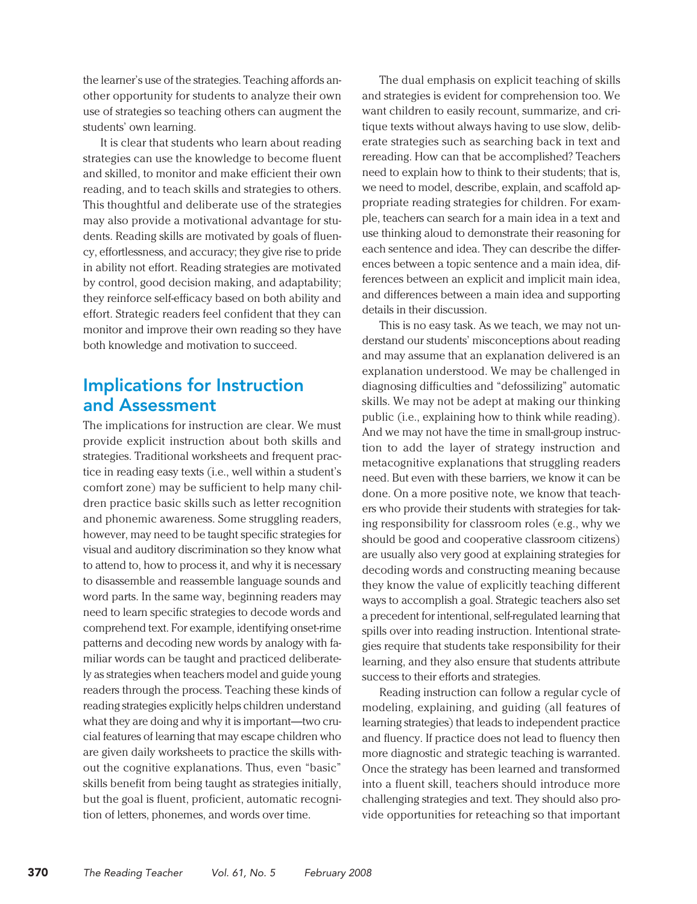the learner's use of the strategies. Teaching affords another opportunity for students to analyze their own use of strategies so teaching others can augment the students' own learning.

It is clear that students who learn about reading strategies can use the knowledge to become fluent and skilled, to monitor and make efficient their own reading, and to teach skills and strategies to others. This thoughtful and deliberate use of the strategies may also provide a motivational advantage for students. Reading skills are motivated by goals of fluency, effortlessness, and accuracy; they give rise to pride in ability not effort. Reading strategies are motivated by control, good decision making, and adaptability; they reinforce self-efficacy based on both ability and effort. Strategic readers feel confident that they can monitor and improve their own reading so they have both knowledge and motivation to succeed.

### Implications for Instruction and Assessment

The implications for instruction are clear. We must provide explicit instruction about both skills and strategies. Traditional worksheets and frequent practice in reading easy texts (i.e., well within a student's comfort zone) may be sufficient to help many children practice basic skills such as letter recognition and phonemic awareness. Some struggling readers, however, may need to be taught specific strategies for visual and auditory discrimination so they know what to attend to, how to process it, and why it is necessary to disassemble and reassemble language sounds and word parts. In the same way, beginning readers may need to learn specific strategies to decode words and comprehend text. For example, identifying onset-rime patterns and decoding new words by analogy with familiar words can be taught and practiced deliberately as strategies when teachers model and guide young readers through the process. Teaching these kinds of reading strategies explicitly helps children understand what they are doing and why it is important—two crucial features of learning that may escape children who are given daily worksheets to practice the skills without the cognitive explanations. Thus, even "basic" skills benefit from being taught as strategies initially, but the goal is fluent, proficient, automatic recognition of letters, phonemes, and words over time.

The dual emphasis on explicit teaching of skills and strategies is evident for comprehension too. We want children to easily recount, summarize, and critique texts without always having to use slow, deliberate strategies such as searching back in text and rereading. How can that be accomplished? Teachers need to explain how to think to their students; that is, we need to model, describe, explain, and scaffold appropriate reading strategies for children. For example, teachers can search for a main idea in a text and use thinking aloud to demonstrate their reasoning for each sentence and idea. They can describe the differences between a topic sentence and a main idea, differences between an explicit and implicit main idea, and differences between a main idea and supporting details in their discussion.

This is no easy task. As we teach, we may not understand our students' misconceptions about reading and may assume that an explanation delivered is an explanation understood. We may be challenged in diagnosing difficulties and "defossilizing" automatic skills. We may not be adept at making our thinking public (i.e., explaining how to think while reading). And we may not have the time in small-group instruction to add the layer of strategy instruction and metacognitive explanations that struggling readers need. But even with these barriers, we know it can be done. On a more positive note, we know that teachers who provide their students with strategies for taking responsibility for classroom roles (e.g., why we should be good and cooperative classroom citizens) are usually also very good at explaining strategies for decoding words and constructing meaning because they know the value of explicitly teaching different ways to accomplish a goal. Strategic teachers also set a precedent for intentional, self-regulated learning that spills over into reading instruction. Intentional strategies require that students take responsibility for their learning, and they also ensure that students attribute success to their efforts and strategies.

Reading instruction can follow a regular cycle of modeling, explaining, and guiding (all features of learning strategies) that leads to independent practice and fluency. If practice does not lead to fluency then more diagnostic and strategic teaching is warranted. Once the strategy has been learned and transformed into a fluent skill, teachers should introduce more challenging strategies and text. They should also provide opportunities for reteaching so that important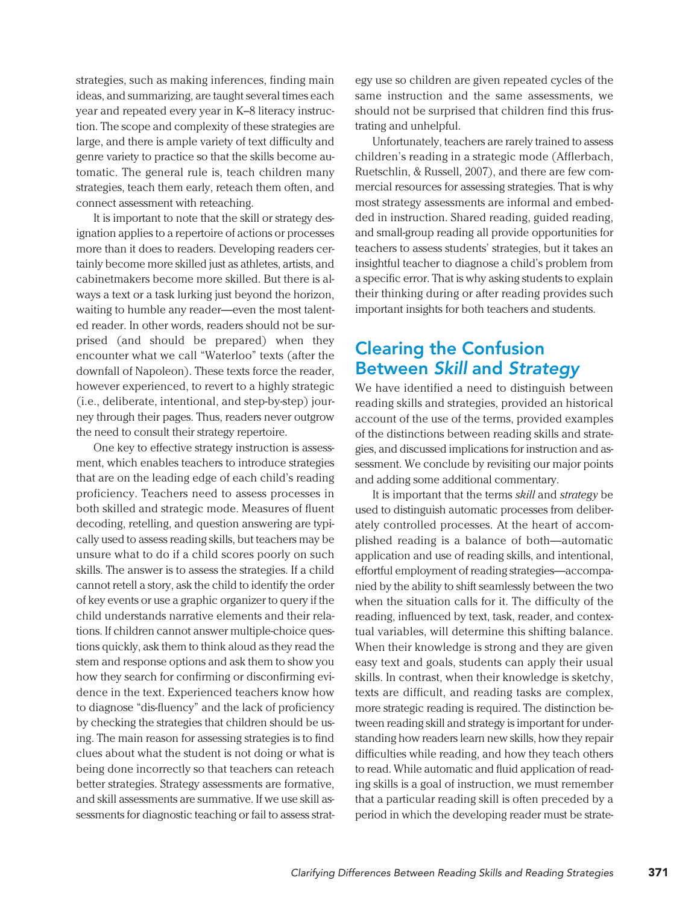strategies, such as making inferences, finding main ideas, and summarizing, are taught several times each year and repeated every year in K–8 literacy instruction. The scope and complexity of these strategies are large, and there is ample variety of text difficulty and genre variety to practice so that the skills become automatic. The general rule is, teach children many strategies, teach them early, reteach them often, and connect assessment with reteaching.

It is important to note that the skill or strategy designation applies to a repertoire of actions or processes more than it does to readers. Developing readers certainly become more skilled just as athletes, artists, and cabinetmakers become more skilled. But there is always a text or a task lurking just beyond the horizon, waiting to humble any reader—even the most talented reader. In other words, readers should not be surprised (and should be prepared) when they encounter what we call "Waterloo" texts (after the downfall of Napoleon). These texts force the reader, however experienced, to revert to a highly strategic (i.e., deliberate, intentional, and step-by-step) journey through their pages. Thus, readers never outgrow the need to consult their strategy repertoire.

One key to effective strategy instruction is assessment, which enables teachers to introduce strategies that are on the leading edge of each child's reading proficiency. Teachers need to assess processes in both skilled and strategic mode. Measures of fluent decoding, retelling, and question answering are typically used to assess reading skills, but teachers may be unsure what to do if a child scores poorly on such skills. The answer is to assess the strategies. If a child cannot retell a story, ask the child to identify the order of key events or use a graphic organizer to query if the child understands narrative elements and their relations. If children cannot answer multiple-choice questions quickly, ask them to think aloud as they read the stem and response options and ask them to show you how they search for confirming or disconfirming evidence in the text. Experienced teachers know how to diagnose "dis-fluency" and the lack of proficiency by checking the strategies that children should be using. The main reason for assessing strategies is to find clues about what the student is not doing or what is being done incorrectly so that teachers can reteach better strategies. Strategy assessments are formative, and skill assessments are summative. If we use skill assessments for diagnostic teaching or fail to assess strat-

egy use so children are given repeated cycles of the same instruction and the same assessments, we should not be surprised that children find this frustrating and unhelpful.

Unfortunately, teachers are rarely trained to assess children's reading in a strategic mode (Afflerbach, Ruetschlin, & Russell, 2007), and there are few commercial resources for assessing strategies. That is why most strategy assessments are informal and embedded in instruction. Shared reading, guided reading, and small-group reading all provide opportunities for teachers to assess students' strategies, but it takes an insightful teacher to diagnose a child's problem from a specific error. That is why asking students to explain their thinking during or after reading provides such important insights for both teachers and students.

#### Clearing the Confusion Between Skill and Strategy

We have identified a need to distinguish between reading skills and strategies, provided an historical account of the use of the terms, provided examples of the distinctions between reading skills and strategies, and discussed implications for instruction and assessment. We conclude by revisiting our major points and adding some additional commentary.

It is important that the terms *skill* and *strategy* be used to distinguish automatic processes from deliberately controlled processes. At the heart of accomplished reading is a balance of both—automatic application and use of reading skills, and intentional, effortful employment of reading strategies—accompanied by the ability to shift seamlessly between the two when the situation calls for it. The difficulty of the reading, influenced by text, task, reader, and contextual variables, will determine this shifting balance. When their knowledge is strong and they are given easy text and goals, students can apply their usual skills. In contrast, when their knowledge is sketchy, texts are difficult, and reading tasks are complex, more strategic reading is required. The distinction between reading skill and strategy is important for understanding how readers learn new skills, how they repair difficulties while reading, and how they teach others to read. While automatic and fluid application of reading skills is a goal of instruction, we must remember that a particular reading skill is often preceded by a period in which the developing reader must be strate-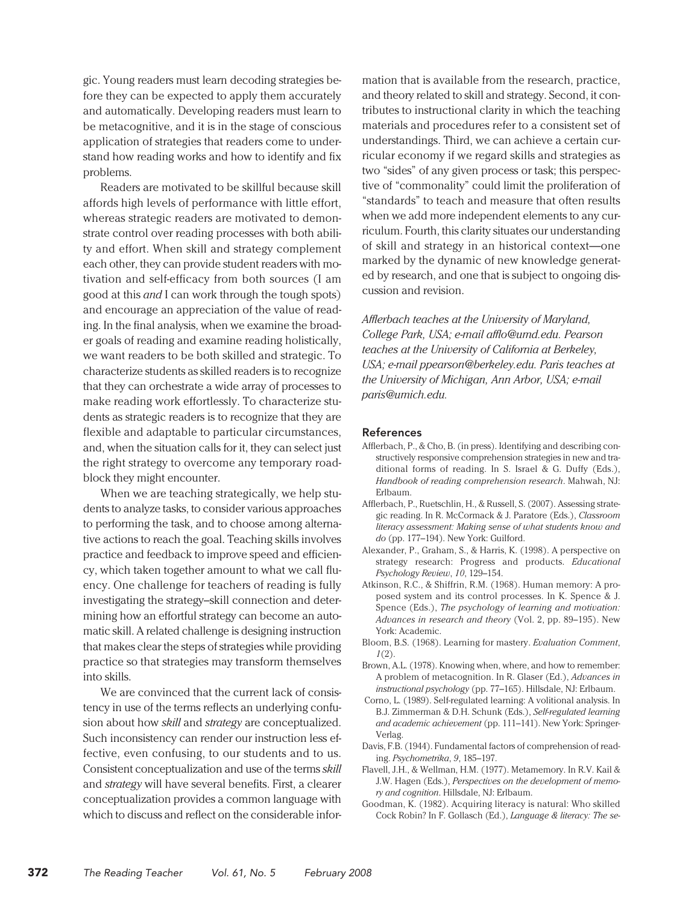gic. Young readers must learn decoding strategies before they can be expected to apply them accurately and automatically. Developing readers must learn to be metacognitive, and it is in the stage of conscious application of strategies that readers come to understand how reading works and how to identify and fix problems.

Readers are motivated to be skillful because skill affords high levels of performance with little effort, whereas strategic readers are motivated to demonstrate control over reading processes with both ability and effort. When skill and strategy complement each other, they can provide student readers with motivation and self-efficacy from both sources (I am good at this *and* I can work through the tough spots) and encourage an appreciation of the value of reading. In the final analysis, when we examine the broader goals of reading and examine reading holistically, we want readers to be both skilled and strategic. To characterize students as skilled readers is to recognize that they can orchestrate a wide array of processes to make reading work effortlessly. To characterize students as strategic readers is to recognize that they are flexible and adaptable to particular circumstances, and, when the situation calls for it, they can select just the right strategy to overcome any temporary roadblock they might encounter.

When we are teaching strategically, we help students to analyze tasks, to consider various approaches to performing the task, and to choose among alternative actions to reach the goal. Teaching skills involves practice and feedback to improve speed and efficiency, which taken together amount to what we call fluency. One challenge for teachers of reading is fully investigating the strategy–skill connection and determining how an effortful strategy can become an automatic skill. A related challenge is designing instruction that makes clear the steps of strategies while providing practice so that strategies may transform themselves into skills.

We are convinced that the current lack of consistency in use of the terms reflects an underlying confusion about how *skill* and *strategy* are conceptualized. Such inconsistency can render our instruction less effective, even confusing, to our students and to us. Consistent conceptualization and use of the terms *skill* and *strategy* will have several benefits. First, a clearer conceptualization provides a common language with which to discuss and reflect on the considerable information that is available from the research, practice, and theory related to skill and strategy. Second, it contributes to instructional clarity in which the teaching materials and procedures refer to a consistent set of understandings. Third, we can achieve a certain curricular economy if we regard skills and strategies as two "sides" of any given process or task; this perspective of "commonality" could limit the proliferation of "standards" to teach and measure that often results when we add more independent elements to any curriculum. Fourth, this clarity situates our understanding of skill and strategy in an historical context—one marked by the dynamic of new knowledge generated by research, and one that is subject to ongoing discussion and revision.

*Afflerbach teaches at the University of Maryland, College Park, USA; e-mail afflo@umd.edu. Pearson teaches at the University of California at Berkeley, USA; e-mail ppearson@berkeley.edu. Paris teaches at the University of Michigan, Ann Arbor, USA; e-mail paris@umich.edu.*

#### References

- Afflerbach, P., & Cho, B. (in press). Identifying and describing constructively responsive comprehension strategies in new and traditional forms of reading. In S. Israel & G. Duffy (Eds.), *Handbook of reading comprehension research*. Mahwah, NJ: Erlbaum.
- Afflerbach, P., Ruetschlin, H., & Russell, S. (2007). Assessing strategic reading. In R. McCormack & J. Paratore (Eds.), *Classroom literacy assessment: Making sense of what students know and do* (pp. 177–194). New York: Guilford.
- Alexander, P., Graham, S., & Harris, K. (1998). A perspective on strategy research: Progress and products. *Educational Psychology Review*, *10*, 129–154.
- Atkinson, R.C., & Shiffrin, R.M. (1968). Human memory: A proposed system and its control processes. In K. Spence & J. Spence (Eds.), *The psychology of learning and motivation: Advances in research and theory* (Vol. 2, pp. 89–195). New York: Academic.
- Bloom, B.S. (1968). Learning for mastery. *Evaluation Comment*, *1*(2).
- Brown, A.L. (1978). Knowing when, where, and how to remember: A problem of metacognition. In R. Glaser (Ed.), *Advances in instructional psychology* (pp. 77–165). Hillsdale, NJ: Erlbaum.
- Corno, L. (1989). Self-regulated learning: A volitional analysis. In B.J. Zimmerman & D.H. Schunk (Eds.), *Self-regulated learning and academic achievement* (pp. 111–141). New York: Springer-Verlag.
- Davis, F.B. (1944). Fundamental factors of comprehension of reading. *Psychometrika*, *9*, 185–197.
- Flavell, J.H., & Wellman, H.M. (1977). Metamemory. In R.V. Kail & J.W. Hagen (Eds.), *Perspectives on the development of memory and cognition*. Hillsdale, NJ: Erlbaum.
- Goodman, K. (1982). Acquiring literacy is natural: Who skilled Cock Robin? In F. Gollasch (Ed.), *Language & literacy: The se-*